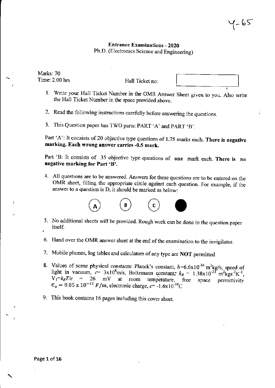# Entrance Examinations - 2020 Ph.D. (Electronics Science and Engineering)

Marks: 70 Time: 2.00 hrs

Hall Ticket no:

- 1. Write your Hall Ticket Number in the OMR Answer Sheet given to you. Also write the Hall Ticket Number in the space provided above.
- 2. Read the following instructions carefully before answering the questions.
- 3. This Question paper has TWO parts: PART 'A' and PART 'B'.

Part 'A': It consists of 20 objective type questions of 1.75 marks each. There is negative marking. Each wrong answer carries -0.5 mark.

Part 'B: It consists of 35 objective type questions of one mark each. There is no negative marking for Part 'B'.

4. All questions are to be answered. Answers for these questions are to be entered on the OMR sheet, filling the appropriate circle against each question. For example, if the answer to a question is D, it should be marked as below:



- itself.
- 6. Hand over the OMR answer sheet at the end of the examination to the invigilator.
- 7. Mobile phones, log tables and calculators of any type are NOT permitted
- 8. Values of some physical constants: Planck's constant,  $h=6.6\times10^{-34}$  m<sup>2</sup>kg/s, speed of light in vacuum,  $c= 3x10^8$ m/s, Boltzmann constant;  $k_B = 1.38 \times 10^{-23}$  m<sup>2</sup>kgs<sup>-2</sup>K<sup>-1</sup>.  $V_T = k_B T/e$  = 26 mV at room temperature, free space permittivity  $\epsilon_o = 8.85 \times 10^{-12} F/m$ , electronic charge,  $e = -1.6 \times 10^{-19} C$
- 9. This book contains 16 pages including this cover sheet.

 $\overline{z}$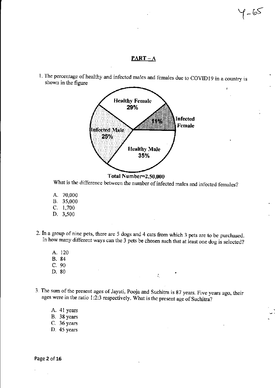### $PART-A$

 $1 - 65$ 

1. The percentage of healthy and infected males and females due to COVID19 in a country is shown in the figure



Total Number=2,50,000

What is the difference between the number of infected males and infected females?

- A. 70,000 B. 35,000 C. 1,700 D. 3,500
- 2. Tn a group of nine pets, there are 5 dogs and 4 cats from which 3 pets are to be purchased. In how many different ways can the 3 pets be chosen such that at least one dog is selected?
	- A. 120 B. 84 C. 90<br>D. 80 D. 80 •
- 3. The sum of the present ages of Jayati, Pooja and Suchitra is 87 years. Five years ago, their ages were in the ratio 1:2:3 respectively. What is the present age of Suchitra?

'.

A. 41 years B. 38 years C, 36 years D, 45 years

Page 2 of 16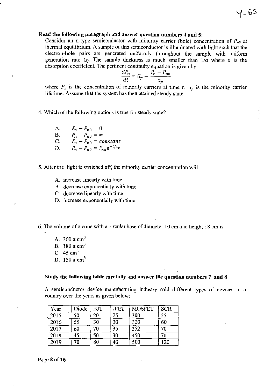## Read the following paragraph and answer question numbers 4 and 5:

Consider an n-type semiconductor with minority carrier (hole) concentration of  $P_{n0}$  at thennal equilibrium. A sample of this semiconductor is illuminated with light such that the electron-hole pairs are generated uniformly throughout the sample with uniform generation rate  $G_p$ . The sample thickness is much smaller than  $1/\alpha$  where  $\alpha$  is the absorption coefficient. The pertinent continuity equation is given by

 $4 - 65$ 

$$
\frac{dP_n}{dt} = G_p - \frac{P_n - P_{n0}}{\tau_p}
$$

where  $P_n$  is the concentration of minority carriers at time  $t$ ,  $\tau_p$  is the minority carrier lifetime. Assume that the system has then attained steady state.

4. Which of the following options is true for steady state?

A. B. C. D.  $P_n - P_{n0} = 0$  $P_n - P_{n0} = \infty$  $P_n - P_{n0} = constant$  $P_n - P_{n0} = P_{no} e^{-t/\tau_p}$ 

- 5. After the light is switched off, the minority carrier concentration will
	- A. increase linearly with time
	- B. decrease exponentially with time
	- C. decrease linearly with time
	- D. increase exponentially with time

6. The volume of a cone with a circular base of diameter 10 em and height 18 em is

- A.  $300 \pi \text{ cm}^3$
- B. 180  $\pi$  cm<sup>3</sup>
- C.  $45 \text{ cm}^3$
- D. 150  $\pi$  cm<sup>3</sup>

#### • Study the following table carefully and answer the question numbers 7 and 8

A semiconductor device manufacturing industry sold different types of devices in a country over the years as given below:

| Year | Diode  | <b>BJT</b> | <b>JFET</b> | <b>MOSFET</b> | <b>SCR</b> |
|------|--------|------------|-------------|---------------|------------|
| 2015 | 50     | 20         | 25          | 300           | 55         |
| 2016 | 55     | 30         | 30          | 320           | 60         |
| 2017 | 60     | 70         | 35          | 352           | $70\,$     |
| 2018 | 45     | 50         | 30          | 450           | 70         |
| 2019 | $70\,$ | 80         | 40          | 500           | 120        |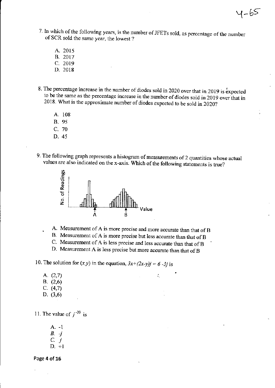7. In which of the following years, is the number of JFETs sold, as percentage of the number of SCR sold the same year, the lowest?

 $4 - 65$ 

- A. 2015 B. 2017 C. 2019
- D. 2018
- 8. The percentage increase in the number of diodes sold in 2020 over that in 2019 is expected to be the same as the percentage increase in the number of diodes sold in 2019 over 'that in 2018. What is the approximate number of diodes expected to be sold in 2020?
	- A. 108
	- B. 95
	- C. 70
	- D.45
- 9. The following graph represents a histogram of measurements of 2 quantities whose actual values are also indicated on the x-axis. Which of the following statements is true?



A. Measurement of A is more precise and more accurate than that of B

- B. Measurement of A is more precise but less accurate than that of B
- C. Measurement of A is less precise and less accurate than that of B

'.

D. Measurement A is less precise but more accurate than that of B

10. The solution for  $(x,y)$  in the equation,  $3x+(2x-y)j = 6-3j$  is

- A.  $(2,7)$  **b**  $\therefore$  **c**  $\therefore$  **c**  $\therefore$  **c**  $\therefore$  **c**  $\therefore$  **c**  $\therefore$  **c**  $\therefore$  **c**  $\therefore$  **c**  $\therefore$  **c**  $\therefore$  **c**  $\therefore$  **c**  $\therefore$  **c**  $\therefore$  **c**  $\therefore$  **c**  $\therefore$  **c**  $\therefore$  **c**  $\therefore$  **c**  $\therefore$  **c**  $\therefore$  **c**  $\therefore$  **c**  $\therefore$  B. (2,6)
- C. (4,7)
- D. (3,6)
- 

11. The value of  $j^{-39}$  is

A. -I B. *-j*   $C. j$ D. +1

Page 4 of 16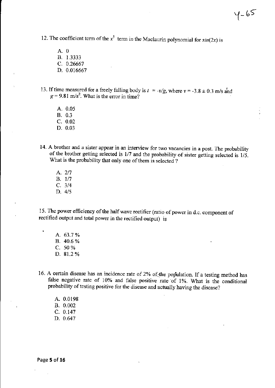12. The coefficient term of the  $x^5$  term in the Maclaurin polynomial for  $sin(2x)$  is

A. 0 B. 1.3333 C. 0.26667 D. 0.016667

13. If time measured for a freely falling body is *t*   $g = 9.81 \text{ m/s}^2$ . What is the error in time? , <sup>~</sup>*-v/g,* where *v* ~ -3.8 ± 0.3 rnJs and

- A. 0.05 B. 0.3
- C. 0.02
- D. 0.03
- 14. A brother and a sister appear in an interview for two vacancies in a post. The probability of the brother getting selected is 117 and the probability of sister getting selected is *1/5.*  What is the probability that only one of them is selected?
	- A. 217 B. 1/7 C. 3/4 D. 4/5

15. The power efficiency of the half wave rectifier (ratio of power in d.c. component of rectified output and total power in the rectified output) is

- A. 63.7 % B. 40.6 % C. 50% D. 81.2 %
- 16. A certain disease has an incidence rate of 2% of the population. If a testing method has false negative rate of 10% and false positive rate of 1%. What is the conditional probability of testing positive for the disease and actually having the disease?

A. 0.0198 B. 0.002 C. 0.147 D. 0.647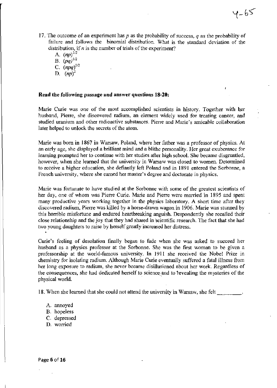17. 'The outcome of an experiment has *p* as the probability of success, *q* as the probability of failure and follows the binomial distribution. What is the standard deviation of the distribution, if *n* is thc number of trials of the experiment?

 $4 - 65$ 

A.  $(np)^{1/2}$ B.  $(pq)^{1/2}$ C.  $(npq)^{1/2}$ D.  $(np)^2$ 

### **Read the following** passage **and answer questions 18-20:**

Marie Curie was one of the most accomplished scientists in history. Together with her husband, Pierre, she discovered radium, an element widely used for treating cancer, and studied uranium and other radioactive substances. Pierre and Marie's amicable collaboration later helped to unlock the secrets of the atom.

Marie was born in 1867 in Warsaw, Poland, where her father was a professor of physics. At an early age, she displayed a brilliant mind and a blithe personality. Her great exuberance for learning prompted her to continue with her studies after high school. She became disgruntled, however, when she learned that the university in Warsaw was closed to women. Determined to receive a higher education, she defiantly left Poland and in 1891 entered the Sorbonne, a French university, where she earned her master's degree and doctorate in physics.

Marie was fortunate to have studied at the Sorbonne with some of the greatest scientists of her day, one of whom was Pierre Curie. Marie and Pierre were married in 1895 and spent many productive years working together in the physics laboratory. A short time after they discovered radium, Pierre was killed by a horse-drawn wagon in 1906. Marie was stunned by this horrible misfortune and endured heartbreaking anguish. Despondently she recalled their close relationship and the joy that they had shared in scientific research. The fact that she had two young daughters to raise by herself greatly increased her distress.

Curie's feeling of desolation fmally began to fade when she was asked to succeed her husband as a physics professor at the Sorbonne. She was the first woman to be given a professorship at the world-famous university. In 1911 she received the Nobel Prize in chemistry for isolating radium. Although Marie Curie eventually suffered a fatal illness from her long exposure to radium, she never became disillusioned about her work. Regardless of the consequences, she had dedicated herself to science and to revealing the mysteries of the physical world.

18. When she learned that she could not attend the university in Warsaw, she felt

- A. annoyed
- B. hopeless
- C. depressed
- D. worried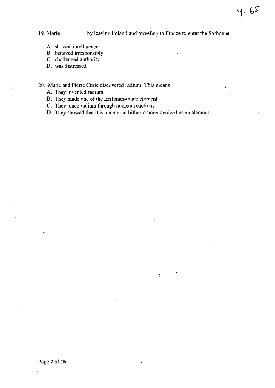19. Marie by leaving Poland and traveling to France to enter the Sorbonne.

 $4 - 65$ 

ï

- A. showed intelligence
- B. behaved irresponsibly
- C. challenged authority
- D. was distressed
- 20. Marie and Pierre Curie discovered radium. This means
	- A. They invented radium
	- B. They made one of the first man-made element
	- C. They made radium through nuclear reactions
	- D. They showed that it is a material hitherto unrecognized as an element

•

'.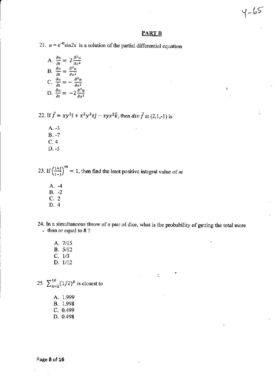## **PARTB**

 $4 - 65$ 

21.  $u = e^{-4t} \sin 2x$  is a solution of the partial differential equation

A. 
$$
\frac{\partial u}{\partial t} = 2 \frac{\partial^2 u}{\partial x^2}
$$
  
\nB. 
$$
\frac{\partial u}{\partial t} = \frac{\partial^2 u}{\partial x^2}
$$
  
\nC. 
$$
\frac{\partial u}{\partial t} = -\frac{\partial^2 u}{\partial x^2}
$$
  
\nD. 
$$
\frac{\partial u}{\partial t} = -2 \frac{\partial^2 u}{\partial x^2}
$$

22. If  $\vec{f} = xy^2\hat{i} + x^2y^2z\hat{j} - xyz^2\hat{k}$ , then *div*  $\vec{f}$  at (2,1,-1) is

A. -3 B. -7 C.4

D. -5

23. If  $\left(\frac{1+j}{1-i}\right)^m = 1$ , then find the least positive integral value of *m* 

- A. -4 B. -2 c. 2
- D. 4

**24. In a simultaneous throw of a pair of dice, what is the probability of getting the total more than or equal to 8 ?** 

• ..

A. 7115 B. 5/12 c. 1/3 D. 1/12

25.  $\sum_{k=2}^{10} (1/2)^k$  is closest to

- A. 1.999 B. 1.998 C. 0.499
- D. 0.498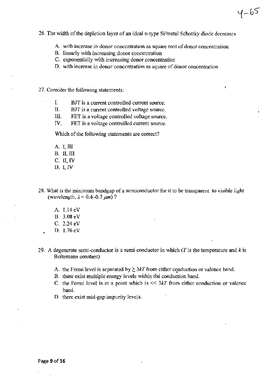- 26. The width of the depletion layer of an ideal n-type Si/metal Schottky diode decreases
	- A. with increase in donor concentration as square root of donor concentration

 $4 - 65$ 

- B. linearly with increasing donor concentration
- C. exponentially with increasing donor concentration
- D. with increase in donor concentration as square of donor concentration
- 27. Consider the following statements:
	- L BlT is a current controlled current source.
	- II. BlT is a current controlled voltage source.
	- III. FET is a voltage controlled voltage source.
	- IV. FET is a voltage controlled current source.

Which of the following statements are correct?

- A. I, III B, II, III
- C. II, IV
- D.I,IV
- 28. What is the minimum bandgap of a semiconductor for it to be transparent to visible light (wavelength,  $\lambda = 0.4 - 0.7 \ \mu m$ )?
	- A. 1.l4eV B, 3.08 eV
	- C. 2.24 eV
	- D. 1.76 eV
- 29. A degenerate semi-conductor is a semi-conductor in which *(Tis* the temperature and *k* is Boltzmann constant)
	- A. the Fermi level is separated by  $\geq 3kT$  from either conduction or valence band.
	- B. there exist multiple energy levels within the conduction band.
	- C. the Fermi level is at a point which is  $<< 3kT$  from either conduction or valence band.
	- D. there exist mid-gap impurity levels.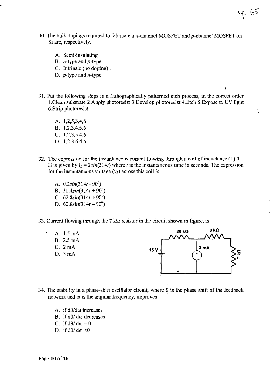- 30. The bulk dopings required to fabricate a  $n$ -channel MOSFET and  $p$ -channel MOSFET on Si are, respectively,
	- A. Semi-insulating
	- B. n-type and *p-type*
	- C. Intrinsic (no doping) .
	- D. *p-type* and n-type
- 31. Put the following steps in a Lithographically patterned etch process, in the correct order I.Clean substrate 2.Apply photoresist 3.Develop photoresist 4.Etch 5.Expose to UV light 6.Strip photoresist
	- A. 1,2,5,3,4,6 B. 1,2,3,4,5,6 C. 1,2,3,5,4,6 D. 1,2,3,6,4,5
- 32. The expression for the instantaneous current flowing through a coil of inductance (L) 0.1 H is given by  $i_L = 2\sin(314t)$  where t is the instantaneous time in seconds. The expression for the instantaneous voltage  $(v_L)$  across this coil is
	- A. *0.2sin(314t*  90') B. *31.4sin(314t* + 90°) C.  $62.8\sin(314t + 90^\circ)$ D.  $62.8\sin(314t - 90^\circ)$
- 33. Current flowing through the 7 k $\Omega$  resistor in the circuit shown in figure, is





 $1 - 65$ 

ł

- 34. The stability in a phase-shift oscillator circuit, where  $\theta$  is the phase shift of the feedback network and  $\omega$  is the angular frequency, improves
	- A. if  $d\theta/d\omega$  increases
	- B. if  $d\theta/d\omega$  decreases
	- C. if  $d\theta/d\omega = 0$
	- D. if  $d\theta/d\omega < 0$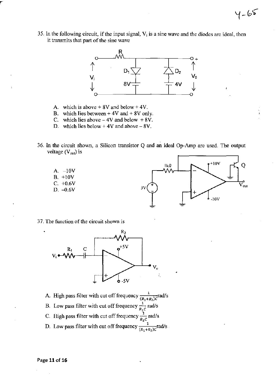35. In the following circuit, if the input signal,  $V_i$  is a sine wave and the diodes are ideal, then it transmits that part of the sine wave



- A. which is above  $+ 8V$  and below  $+ 4V$ .
- B. which lies between  $+ 4V$  and  $+ 8V$  only.
- C. which lies above  $-4V$  and below  $+8V$ .
- D. which lies below  $+4V$  and above  $-8V$ .
- 36. In the circuit shown, a Silicon transistor  $Q$  and an ideal Op-Amp are used. The output voltage  $(V_{out})$  is





 $4 - 65$ 

•

37. The function of the circuit shown is



- A. High pass filter with cut off frequency  $\frac{1}{(R_1 + R_2)C}$  rad/s
- B. Low pass filter with cut off frequency  $\frac{1}{R_1c}$  rad/s
- C. High pass filter with cut off frequency  $\frac{1}{R_1c}$  rad/s
- D. Low pass filter with cut off frequency  $\frac{1}{(R_1+R_2)c}$  rad/s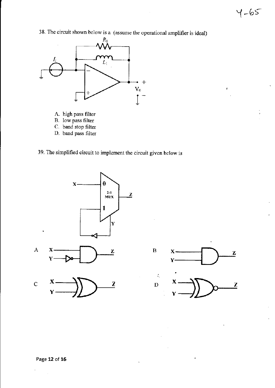$\mathbf{r}$ 

38. The circuit shown below is a (assume the operational amplifier is ideal)



- A. high pass filter
- B. low pass filter
- c. band stop filter
- D. band pass filter
- 39. The simplified circuit to implement the circuit given below is



 $\ddot{\phantom{a}}$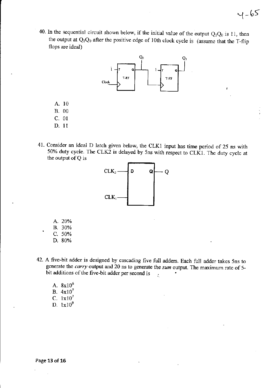40. In the sequential circuit shown below, if the initial value of the output  $Q_1Q_0$  is 11, then the output at  $Q_1Q_0$  after the positive edge of 10th clock cycle is (assume that the T-flip flops are ideal)



- A. 10
- B. 00
- C. 01
- D. 11
- 41. Consider an ideal D latch given below, the CLK1 input has time period of 25 ns with 50% duty cycle. The CLK2 is delayed by 5ns with respect to CLK1. The duty cycle at the output of Q is



- A. 20%
- B. 30%
- C. 50%
- D.80%
- 42. A five-bit adder is designed by cascading five full adders. Each full adder takes Sns to generate the *carry* output and 20 ns to generate the *sum* output. The maximum rate of Sbit additions of the five-bit adder per second is  $\frac{1}{2}$ 
	- A. 8x1O' B. 4xl07 C. 1x10<sup>7</sup> D.  $1x10^9$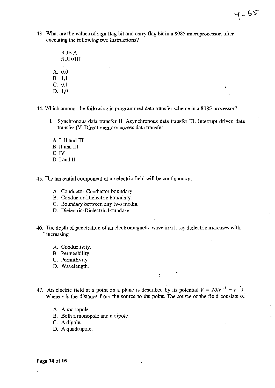43. What are the values of sign flag bit and carry flag bit in a 8085 microprocessor, after executing the following two instructions?

 $4 - 65$ 

- SUB A SUIOlH A. 0,0 B. 1,1 C. 0,1
- D. I,D

44. Which among the following is programmed data transfer scheme in a 8085 processor?

- L Synchronous data transfer II. Asynchronous data transfer III. Interrupt driven data transfer IV. Direct memory access data transfer
	- A. I, II and III B.II and III C.IV D. I and II
- 45. The tangential component of an electric field will be continuous at
	- A. Conductor-Conductor boundary.
	- B. Conductor-Dielectric boundary.
	- C. Boundary between any two media.
	- D. Dielectric-Dielectric boundary.
- 46. The depth of penetration of an electromagnetic wave in a lossy dielectric increases with • increasing
	- A. Conductivity.
	- B. Permeability.
	- C. Permittivity.
	- D. Wavelength.
- 47. An electric field at a point on a plane is described by its potential  $V = 20(r^{-1} + r^{-2})$ , where  $r$  is the distance from the source to the point. The source of the field consists of

•

'.

- A. A monopole.
- B. Both a monopole and a dipole.
- C. A dipole.
- D. A quadrupole.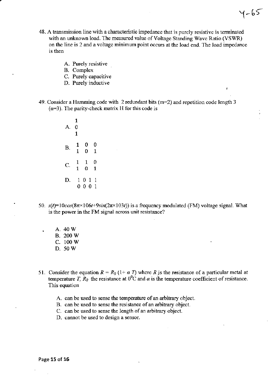48. A transmission line with a characteristic impedance that is purely resistive is tenninated with an unknown load. The measured value of Voltage Standing Wave Ratio (VSWR) on the line is 2 and a voltage minimum point occurs at the load end. The load impedance is then

 $4 - 65$ 

- A. Purely resistive
- B. Complex
- C. Purely capacitive
- D. Purely inductive
- 49. Consider a Hamming code with 2 redundant bits  $(m=2)$  and repetition code length 3 (n=3). The parity-check matrix H for this code is

1 A. 0 1 B.  $\begin{matrix} 1 & 0 & 0 \\ 1 & 0 & 1 \end{matrix}$  $0 \quad 1$ C.  $\begin{array}{cc} 1 & 1 & 0 \\ 1 & 0 & 1 \end{array}$  $1 \quad 0$ D. 1 0 1 1 000 1

- 50.  $s(t)=10cos(8\pi \times 106t+9sin(2\pi \times 103t))$  is a frequency modulated (FM) voltage signal. What is the power in the FM signal across unit resistance?
	- A.40W
	- B. 200W
	- c. lOOW
	- D.50W
- 51. Consider the equation  $R = R_0 (1 + \alpha T)$  where R is the resistance of a particular metal at temperature *T*,  $R_0$  the resistance at  $0^0C$  and  $\alpha$  is the temperature coefficient of resistance. This equation
	- A. can be used to sense the temperature of an arbitrary object.
	- B. can be used to sense the resistance of an arbitrary object.
	- C. can be used to sense the length of an arbitrary object.
	- D. cannot be used to design a sensor.